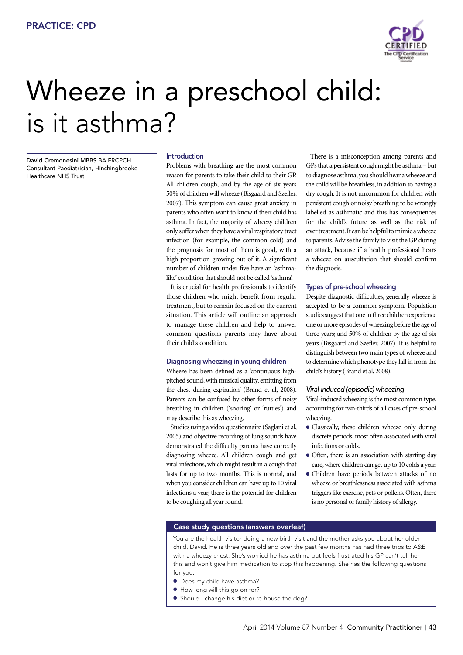

# Wheeze in a preschool child: is it asthma?

David Cremonesini MBBS BA FRCPCH Consultant Paediatrician, Hinchingbrooke Healthcare NHS Trust

# Introduction

Problems with breathing are the most common reason for parents to take their child to their GP. All children cough, and by the age of six years 50% of children will wheeze (Bisgaard and Szefler, 2007). This symptom can cause great anxiety in parents who often want to know if their child has asthma. In fact, the majority of wheezy children only suffer when they have a viral respiratory tract infection (for example, the common cold) and the prognosis for most of them is good, with a high proportion growing out of it. A significant number of children under five have an 'asthmalike' condition that should not be called 'asthma'.

It is crucial for health professionals to identify those children who might benefit from regular treatment, but to remain focused on the current situation. This article will outline an approach to manage these children and help to answer common questions parents may have about their child's condition.

#### Diagnosing wheezing in young children

Wheeze has been defined as a 'continuous highpitched sound, with musical quality, emitting from the chest during expiration' (Brand et al, 2008). Parents can be confused by other forms of noisy breathing in children ('snoring' or 'ruttles') and may describe this as wheezing.

Studies using a video questionnaire (Saglani et al, 2005) and objective recording of lung sounds have demonstrated the difficulty parents have correctly diagnosing wheeze. All children cough and get viral infections, which might result in a cough that lasts for up to two months. This is normal, and when you consider children can have up to 10 viral infections a year, there is the potential for children to be coughing all year round.

There is a misconception among parents and GPs that a persistent cough might be asthma – but to diagnose asthma, you should hear a wheeze and the child will be breathless, in addition to having a dry cough. It is not uncommon for children with persistent cough or noisy breathing to be wrongly labelled as asthmatic and this has consequences for the child's future as well as the risk of over treatment. It can be helpful to mimic a wheeze to parents. Advise the family to visit the GP during an attack, because if a health professional hears a wheeze on auscultation that should confirm the diagnosis.

#### Types of pre-school wheezing

Despite diagnostic difficulties, generally wheeze is accepted to be a common symptom. Population studies suggest that one in three children experience one or more episodes of wheezing before the age of three years; and 50% of children by the age of six years (Bisgaard and Szefler, 2007). It is helpful to distinguish between two main types of wheeze and to determine which phenotype they fall in from the child's history (Brand et al, 2008).

# *Viral-induced (episodic) wheezing*

Viral-induced wheezing is the most common type, accounting for two-thirds of all cases of pre-school wheezing.

- $\bullet$  Classically, these children wheeze only during discrete periods, most often associated with viral infections or colds.
- Often, there is an association with starting day care, where children can get up to 10 colds a year.
- Children have periods between attacks of no wheeze or breathlessness associated with asthma triggers like exercise, pets or pollens. Often, there is no personal or family history of allergy.

#### Case study questions (answers overleaf)

You are the health visitor doing a new birth visit and the mother asks you about her older child, David. He is three years old and over the past few months has had three trips to A&E with a wheezy chest. She's worried he has asthma but feels frustrated his GP can't tell her this and won't give him medication to stop this happening. She has the following questions for you:

- $\bullet$  Does my child have asthma?
- $\bullet$  How long will this go on for?
- **•** Should I change his diet or re-house the dog?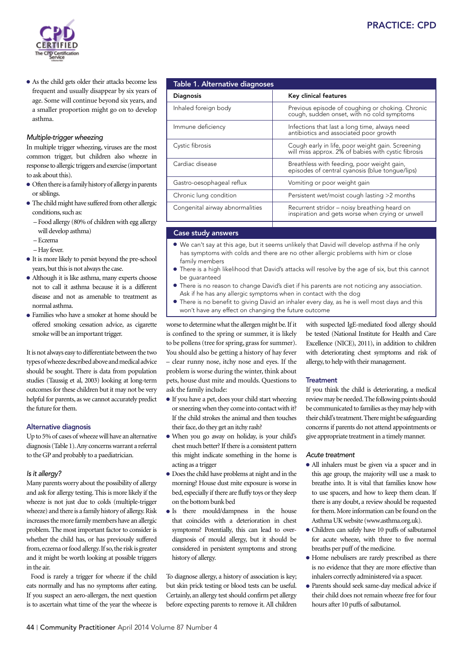

• As the child gets older their attacks become less frequent and usually disappear by six years of age. Some will continue beyond six years, and a smaller proportion might go on to develop asthma.

# *Multiple-trigger wheezing*

In multiple trigger wheezing, viruses are the most common trigger, but children also wheeze in response to allergic triggers and exercise (important to ask about this).

- $\bullet$  Often there is a family history of allergy in parents or siblings.
- $\bullet$  The child might have suffered from other allergic conditions, such as:
	- Food allergy (80% of children with egg allergy will develop asthma)
	- Eczema
	- Hay fever.
- $\bullet$  It is more likely to persist beyond the pre-school years, but this is not always the case.
- Although it is like asthma, many experts choose not to call it asthma because it is a different disease and not as amenable to treatment as normal asthma.
- Families who have a smoker at home should be offered smoking cessation advice, as cigarette smoke will be an important trigger.

It is not always easy to differentiate between the two types of wheeze described above and medical advice should be sought. There is data from population studies (Taussig et al, 2003) looking at long-term outcomes for these children but it may not be very helpful for parents, as we cannot accurately predict the future for them.

#### Alternative diagnosis

Up to 5% of cases of wheeze will have an alternative diagnosis (Table 1). Any concerns warrant a referral to the GP and probably to a paediatrician.

#### *Is it allergy?*

Many parents worry about the possibility of allergy and ask for allergy testing. This is more likely if the wheeze is not just due to colds (multiple-trigger wheeze) and there is a family history of allergy. Risk increases the more family members have an allergic problem. The most important factor to consider is whether the child has, or has previously suffered from, eczema or food allergy. If so, the risk is greater and it might be worth looking at possible triggers in the air.

Food is rarely a trigger for wheeze if the child eats normally and has no symptoms after eating. If you suspect an aero-allergen, the next question is to ascertain what time of the year the wheeze is

| <b>Table 1. Alternative diagnoses</b> |                                                                                                         |
|---------------------------------------|---------------------------------------------------------------------------------------------------------|
| <b>Diagnosis</b>                      | Key clinical features                                                                                   |
| Inhaled foreign body                  | Previous episode of coughing or choking. Chronic<br>cough, sudden onset, with no cold symptoms          |
| Immune deficiency                     | Infections that last a long time, always need<br>antibiotics and associated poor growth                 |
| Cystic fibrosis                       | Cough early in life, poor weight gain. Screening<br>will miss approx. 2% of babies with cystic fibrosis |
| Cardiac disease                       | Breathless with feeding, poor weight gain,<br>episodes of central cyanosis (blue tongue/lips)           |
| Gastro-oesophageal reflux             | Vomiting or poor weight gain                                                                            |
| Chronic lung condition                | Persistent wet/moist cough lasting >2 months                                                            |
| Congenital airway abnormalities       | Recurrent stridor – noisy breathing heard on<br>inspiration and gets worse when crying or unwell        |

# Case study answers

- $\bullet$  We can't say at this age, but it seems unlikely that David will develop asthma if he only has symptoms with colds and there are no other allergic problems with him or close family members
- **•** There is a high likelihood that David's attacks will resolve by the age of six, but this cannot be guaranteed
- l There is no reason to change David's diet if his parents are not noticing any association. Ask if he has any allergic symptoms when in contact with the dog
- There is no benefit to giving David an inhaler every day, as he is well most days and this won't have any effect on changing the future outcome

worse to determine what the allergen might be. If it is confined to the spring or summer, it is likely to be pollens (tree for spring, grass for summer). You should also be getting a history of hay fever – clear runny nose, itchy nose and eyes. If the problem is worse during the winter, think about pets, house dust mite and moulds. Questions to ask the family include:

- If you have a pet, does your child start wheezing or sneezing when they come into contact with it? If the child strokes the animal and then touches their face, do they get an itchy rash?
- <sup>l</sup>When you go away on holiday, is your child's chest much better? If there is a consistent pattern this might indicate something in the home is acting as a trigger
- Does the child have problems at night and in the morning? House dust mite exposure is worse in bed, especially if there are fluffy toys or they sleep on the bottom bunk bed
- Is there mould/dampness in the house that coincides with a deterioration in chest symptoms? Potentially, this can lead to overdiagnosis of mould allergy, but it should be considered in persistent symptoms and strong history of allergy.

To diagnose allergy, a history of association is key; but skin prick testing or blood tests can be useful. Certainly, an allergy test should confirm pet allergy before expecting parents to remove it. All children with suspected IgE-mediated food allergy should be tested (National Institute for Health and Care Excellence (NICE), 2011), in addition to children with deteriorating chest symptoms and risk of allergy, to help with their management.

#### **Treatment**

If you think the child is deteriorating, a medical review may be needed. The following points should be communicated to families as they may help with their child's treatment. There might be safeguarding concerns if parents do not attend appointments or give appropriate treatment in a timely manner.

#### *Acute treatment*

- <sup>l</sup>All inhalers must be given via a spacer and in this age group, the majority will use a mask to breathe into. It is vital that families know how to use spacers, and how to keep them clean. If there is any doubt, a review should be requested for them. More information can be found on the Asthma UK website (www.asthma.org.uk).
- $\bullet$  Children can safely have 10 puffs of salbutamol for acute wheeze, with three to five normal breaths per puff of the medicine.
- $\bullet$  Home nebulisers are rarely prescribed as there is no evidence that they are more effective than inhalers correctly administered via a spacer.
- <sup>l</sup>Parents should seek same-day medical advice if their child does not remain wheeze free for four hours after 10 puffs of salbutamol.